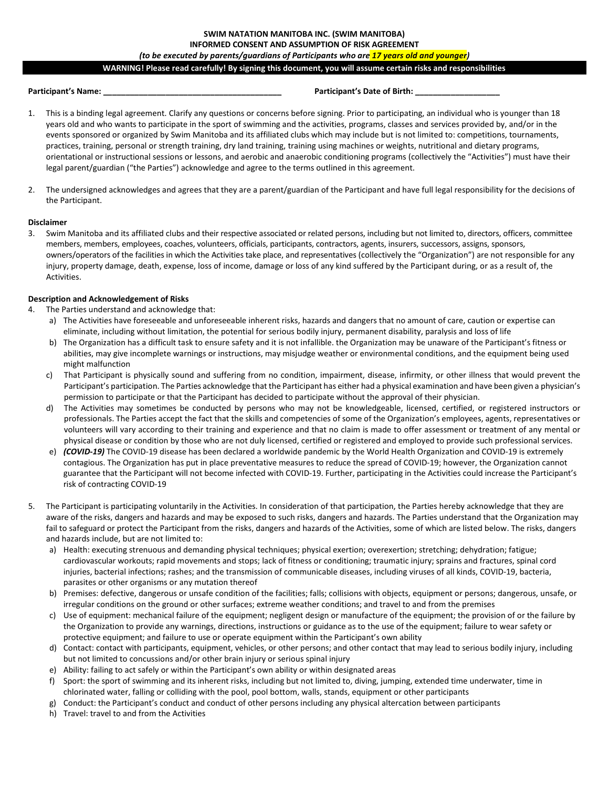## **SWIM NATATION MANITOBA INC. (SWIM MANITOBA)**

# **INFORMED CONSENT AND ASSUMPTION OF RISK AGREEMENT**

# *(to be executed by parents/guardians of Participants who are 17 years old and younger)*

# **WARNING! Please read carefully! By signing this document, you will assume certain risks and responsibilities**

### **Participant's Name: \_\_\_\_\_\_\_\_\_\_\_\_\_\_\_\_\_\_\_\_\_\_\_\_\_\_\_\_\_\_\_\_\_\_\_\_\_\_\_\_ Participant's Date of Birth: \_\_\_\_\_\_\_\_\_\_\_\_\_\_\_\_\_\_\_**

- 1. This is a binding legal agreement. Clarify any questions or concerns before signing. Prior to participating, an individual who is younger than 18 years old and who wants to participate in the sport of swimming and the activities, programs, classes and services provided by, and/or in the events sponsored or organized by Swim Manitoba and its affiliated clubs which may include but is not limited to: competitions, tournaments, practices, training, personal or strength training, dry land training, training using machines or weights, nutritional and dietary programs, orientational or instructional sessions or lessons, and aerobic and anaerobic conditioning programs (collectively the "Activities") must have their legal parent/guardian ("the Parties") acknowledge and agree to the terms outlined in this agreement.
- 2. The undersigned acknowledges and agrees that they are a parent/guardian of the Participant and have full legal responsibility for the decisions of the Participant.

#### **Disclaimer**

3. Swim Manitoba and its affiliated clubs and their respective associated or related persons, including but not limited to, directors, officers, committee members, members, employees, coaches, volunteers, officials, participants, contractors, agents, insurers, successors, assigns, sponsors, owners/operators of the facilities in which the Activities take place, and representatives (collectively the "Organization") are not responsible for any injury, property damage, death, expense, loss of income, damage or loss of any kind suffered by the Participant during, or as a result of, the Activities.

#### **Description and Acknowledgement of Risks**

- 4. The Parties understand and acknowledge that:
	- a) The Activities have foreseeable and unforeseeable inherent risks, hazards and dangers that no amount of care, caution or expertise can eliminate, including without limitation, the potential for serious bodily injury, permanent disability, paralysis and loss of life
	- b) The Organization has a difficult task to ensure safety and it is not infallible. the Organization may be unaware of the Participant's fitness or abilities, may give incomplete warnings or instructions, may misjudge weather or environmental conditions, and the equipment being used might malfunction
	- c) That Participant is physically sound and suffering from no condition, impairment, disease, infirmity, or other illness that would prevent the Participant's participation. The Parties acknowledge that the Participant has either had a physical examination and have been given a physician's permission to participate or that the Participant has decided to participate without the approval of their physician.
	- d) The Activities may sometimes be conducted by persons who may not be knowledgeable, licensed, certified, or registered instructors or professionals. The Parties accept the fact that the skills and competencies of some of the Organization's employees, agents, representatives or volunteers will vary according to their training and experience and that no claim is made to offer assessment or treatment of any mental or physical disease or condition by those who are not duly licensed, certified or registered and employed to provide such professional services.
	- e) *(COVID-19)* The COVID-19 disease has been declared a worldwide pandemic by the World Health Organization and COVID-19 is extremely contagious. The Organization has put in place preventative measures to reduce the spread of COVID-19; however, the Organization cannot guarantee that the Participant will not become infected with COVID-19. Further, participating in the Activities could increase the Participant's risk of contracting COVID-19
- 5. The Participant is participating voluntarily in the Activities. In consideration of that participation, the Parties hereby acknowledge that they are aware of the risks, dangers and hazards and may be exposed to such risks, dangers and hazards. The Parties understand that the Organization may fail to safeguard or protect the Participant from the risks, dangers and hazards of the Activities, some of which are listed below. The risks, dangers and hazards include, but are not limited to:
	- a) Health: executing strenuous and demanding physical techniques; physical exertion; overexertion; stretching; dehydration; fatigue; cardiovascular workouts; rapid movements and stops; lack of fitness or conditioning; traumatic injury; sprains and fractures, spinal cord injuries, bacterial infections; rashes; and the transmission of communicable diseases, including viruses of all kinds, COVID-19, bacteria, parasites or other organisms or any mutation thereof
	- b) Premises: defective, dangerous or unsafe condition of the facilities; falls; collisions with objects, equipment or persons; dangerous, unsafe, or irregular conditions on the ground or other surfaces; extreme weather conditions; and travel to and from the premises
	- c) Use of equipment: mechanical failure of the equipment; negligent design or manufacture of the equipment; the provision of or the failure by the Organization to provide any warnings, directions, instructions or guidance as to the use of the equipment; failure to wear safety or protective equipment; and failure to use or operate equipment within the Participant's own ability
	- d) Contact: contact with participants, equipment, vehicles, or other persons; and other contact that may lead to serious bodily injury, including but not limited to concussions and/or other brain injury or serious spinal injury
	- e) Ability: failing to act safely or within the Participant's own ability or within designated areas
	- f) Sport: the sport of swimming and its inherent risks, including but not limited to, diving, jumping, extended time underwater, time in chlorinated water, falling or colliding with the pool, pool bottom, walls, stands, equipment or other participants
	- g) Conduct: the Participant's conduct and conduct of other persons including any physical altercation between participants
	- h) Travel: travel to and from the Activities